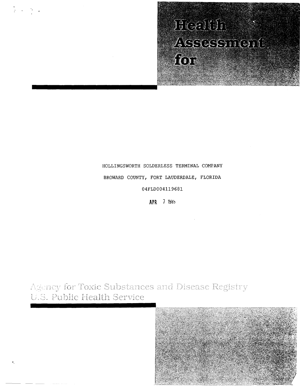# HOLLINGSWORTH SOLDERLESS TERMINAL COMPANY

 $\mathcal{O}(\mathcal{C})$ 

BROWARD COUNTY, FORT LAUDERDALE, FLORIDA

04FLD004119681

**APR** 7 1985

Agency for Toxic Substances and Disease Registry U.S. Public Health Service

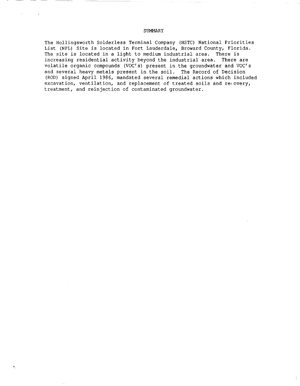### SUMMARY

The Hollingsworth Solderless Terminal Company (HSTC) National Priorities List (NPL) Site is located in Fort Lauderdale, Broward County, Florida.<br>The site is located in a light to medium industrial area. There is The site is located in a light to medium industrial area. increasing residential activity beyond the industrial area. There are volatile organic compounds (VOC's) present in the groundwater and VOC's and several heavy metals present in the soil. The Record of Decision (ROD) signed April 1986, mandated several remedial actions which included excavation, ventilation, and replacement of treated soils and re(overy, treatment, and reinjection of contaminated groundwater.

 $\bullet$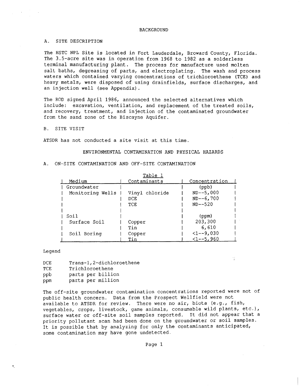#### **BACKGROUND**

### A. SITE DESCRIPTION

The HSTC NPL Site is located in Fort Lauderdale, Broward County, Florida. The 3.5-acre site was in operation from 1968 to 1982 as a solderless terminal manufacturing plant. The process for manufacture used molten salt baths, degreasing of parts, and electroplating. The wash and process waters which contained varying concentrations of trichloroethene (TCE) and heavy metals, were disposed of using drainfields, surface discharges, and an injection well (see Appendix) .

The ROD signed April 1986, announced the selected alternatives which include: excavation, ventilation, and replacement of the treated soils, and recovery, treatment, and injection of the contaminated groundwater from the sand zone of the Biscayne Aquifer.

## B. SITE VISIT

ATSDR has not conducted a site visit at this time.

## ENVIRONMENTAL CONTAMINATION AND PHYSICAL HAZARDS

#### A. ON-SITE CONTAMINATION AND OFF-SITE CONTAMINATION

| Table            |                |               |
|------------------|----------------|---------------|
| Medium           | Contaminants   | Concentration |
| Groundwater      |                | (ppb)         |
| Monitoring Wells | Vinyl chloride | $ND--5,000$   |
|                  | DCE            | $ND--6,700$   |
|                  | TCE            | $ND--520$     |
|                  |                |               |
| Soil             |                | (ppm)         |
| Surface Soil     | Copper         | 203,300       |
|                  | Tin            | 6,610         |
| Soil Boring      | Copper         | $<1--9,030$   |
|                  | Tin            | $<$ 1--5,960  |

### Legend

 $\bullet$ 

| DCE. | Trans-1, 2-dichloroethene |
|------|---------------------------|
| TCE. | Trichloroethene           |
| ppb  | parts per billion         |
| ppm  | parts per million         |

The off-site groundwater contamination concentrations reported were not of public health concern. Data from the Prospect Wellfield were not available to ATSDR for review. There were no air, biota (e.g., fish, vegetables, crops, livestock, game animals, consumable wild plants, etc.), surface water or off-site soil samples reported. It did not appear that a priority pollutant scan had been done on the groundwater or soil samples. It is possible that by analyzing for only the contaminants anticipated, some contamination may have gone undetected.

s)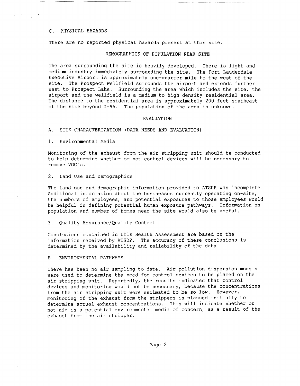#### C. PHYSICAL HAZARDS

There are no reported physical hazards present at this site.

### DEMOGRAPHICS OF POPULATION NEAR SITE

The area surrounding the site is heavily developed. There is light and medium industry immediately surrounding the site. The Fort Lauderdale Executive Airport is approximately one-quarter mile to the west of the site. The Prospect Wellfield surrounds the airport and extends further west to Prospect Lake. Surrounding the area which includes the site, the airport and the wellfield is a medium to high density residential area. The distance to the residential area is approximately 200 feet southeast of the site beyond 1-95. The population of the area is unknown.

#### EVALUATION

A. SITE CHARACTERIZATION (DATA NEEDS AND EVALUATION)

1. Environmental Media

Monitoring of the exhaust from the air stripping unit should be conducted to help determine whether or not control devices will be necessary to remove VOC's.

2. Land Use and Demographics

The land use and demographic information provided to ATSDR was incomplete. Additional information about the businesses currently operating on-site, the numbers of employees, and potential exposures to those employees would be helpful in defining potential human exposure pathways. Information on population and number of homes near the site would also be useful.

3. Quality Assurance/Quality Control

Conclusions contained in this Health Assessment are based on the information received by ATSDR. The accuracy of these conclusions is determined by the availability and reliability of the data.

## B. ENVIRONMENTAL PATHWAYS

t.

There has been no air sampling to date. Air pollution dispersion models were used to determine the need for control devices to be placed on the air stripping unit. Reportedly, the results indicated that control devices and monitoring would not be necessary, because the concentrations from the air stripping unit were estimated to be so low. However, monitoring of the exhaust from the strippers is planned initially to determine actual exhaust concentrations. This will indicate whether or not air is a potential environmental media of concern, as a result of the exhaust from the air stripper.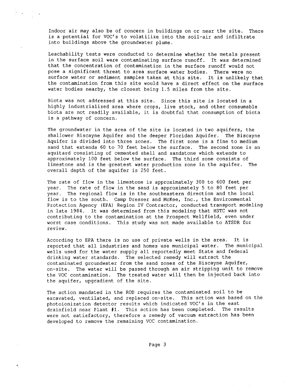Indoor air may also be of concern in buildings on or near the site. There is a potential for VOC's to volatilize into the soil-air and infiltrate into buildings above the groundwater plume.

Leachability tests were conducted to determine whether the metals present in the surface soil were contaminating surface runoff. It was determined that the concentration of contamination in the surface runoff would not pose a significant threat to area surface water bodies. There were no surface water or sediment samples taken at this site. It is unlikely that the contamination from this site would have a direct effect on the surface water bodies nearby, the closest being 1.5 miles from the site.

Biota was not addressed at this site. Since this site is located in a highly industrialized area where crops, live stock, and other consumable biota are not readily available, it is doubtful that consumption of biota is a pathway of concern.

The groundwater in the area of the site is located in two aquifers, the shallower Biscayne Aquifer and the deeper Floridan Aquifer. The Biscayne Aquifer is divided into three zones. The first zone is a fine to medium sand that extends 60 to 70 feet below the surface. The second zone is an aquitard consisting of cemented shell and sandstone which extends to approximately 100 feet below the surface. The third zone consists of limestone and is the greatest water production zone in the aquifer. The overall depth of the aquifer is 250 feet.

The rate of flow in the limestone is approximately 300 to 600 feet per year. The rate of flow in the sand is approximately 5 to 80 feet per year. The regional flow is in the southeastern direction and the local flow is to the south. Camp Dresser and McKee, Inc., the Environmental Protection Agency (EPA) Region IV Contractor, conducted transport modeling in late 1984. It was determined from this modeling that HSTC was not contributing to the contamination at the Prospect Wellfield, even under worst case conditions. This study was not made available to ATSDR for review.

According to EPA there is no use of private wells in the area. It is reported that all industries and homes use municipal water. The municipal wells used for the water supply all reportedly meet State and federal drinking water standards. The selected remedy will extract the contaminated groundwater from the sand zones of the Biscayne Aquifer, on-site. The water will be passed through an air stripping unit to remove the VOC contamination. The treated water will then be injected back into the aquifer, upgradient of the site.

The action mandated in the ROD requires the contaminated soil to be excavated, ventilated, and replaced on-site. This action was based on the photoionization detector results which indicated VOC's in the east drainfield near Plant fl. This action has been completed. The results were not satisfactory, therefore a remedy of vacuum extraction has been developed to remove the remaining VOC contamination.

 $\mathbf{r}_i$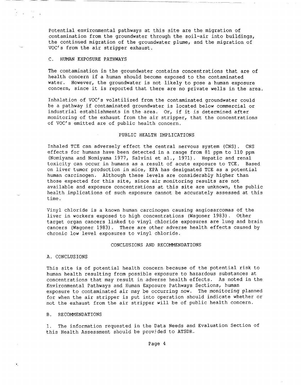Potential environmental pathways at this site are the migration of contamination from the groundwater through the soil-air into buildings, the continued migration of the groundwater plume, and the migration of VOC's from the air stripper exhaust.

## C. HUMAN EXPOSURE PATHWAYS

The contamination in the groundwater contains concentrations that are of health concern if a human should become exposed to the contaminated water. However, the groundwater is not likely to pose a human exposure concern, since it is reported that there are no private wells in the area.

Inhalation of VOC's volatilized from the contaminated groundwater could be a pathway if contaminated groundwater is located below commercial or industrial establishments in the area. Or, if it is determined after monitoring of the exhaust from the air stripper, that the concentrations of VOC's emitted are of public health concern.

## PUBLIC HEALTH IMPLICATIONS

Inhaled TCE can adversely effect the central nervous system (CNS). CNS effects for humans have been detected in a range from 81 ppm to 110 ppm (Nomiyama and Nomiyama 1977, Salvini et al., 1971). Hepatic and renal toxicity can occur in humans as a result of acute exposure to TCE. Based on liver tumor production in mice, EPA has designated TCE as a potential human carcinogen. Although these levels are considerably higher than those expected for this site, since air monitoring results are not available and exposure concentrations at this site are unknown, the public health implications of such exposure cannot be accurately assessed at this time.

Vinyl chloride is a known human carcinogen causing angiosarcomas of the liver in workers exposed to high concentrations (Wagoner 1983). Other target organ cancers linked to vinyl chloride exposures are lung and brain cancers (Wagoner 1983). There are other adverse health effects caused by chronic low level exposures to vinyl chloride.

#### CONCLUSIONS AND RECOMMENDATIONS

#### A. CONCLUSIONS

This site is of potential health concern because of the potential risk to human health resulting from possible exposure to hazardous substances at concentrations that may result in adverse health effects. As noted in the Environmental Pathways and Human Exposure Pathways Sections, human exposure to contaminated air may be occurring now. The monitoring planned for when the air stripper is put into operation should indicate whether or not the exhaust from the air stripper will be of public health concern.

#### B. RECOMMENDATIONS

 $\bullet$ 

1. The information requested in the Data Needs and Evaluation Section of this Health Assessment should be provjded to ATSDR.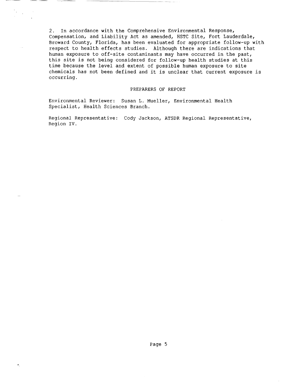2. In accordance with the Comprehensive Environmental Response, Compensation, and Liability Act as amended, HSTC Site, Fort Lauderdale, Broward County, Florida, has been evaluated for appropriate follow-up with respect to health effects studies. Although there are indications that human exposure to off-site contaminants may have occurred in the past, this site is not being considered for follow-up health studies at this time because the level and extent of possible human exposure to site chemicals has not been defined and it is unclear that current exposure is occurring.

## PREPARERS OF REPORT

Environmental Reviewer: Susan L. Mueller, Environmental Health Specialist, Health Sciences Branch.

Regional Representative: Cody Jackson, ATSDR Regional Representative, Region IV.

'.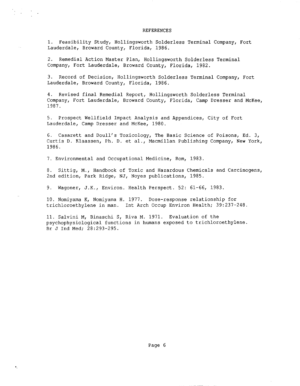#### REFERENCES

1. Feasibility Study, Hollingsworth Solderless Terminal Company, Fort Lauderdale, Broward County, Florida, 1986.

2. Remedial Action Master Plan, Hollingsworth Solderless Terminal Company, Fort Lauderdale, Broward County, Florida, 1982.

 $\bullet_1$ 

3. Record of Decision, Hollingsworth Solderless Terminal Company, Fort Lauderdale, Broward County, Florida, 1986.

4. Revised final Remedial Report, Hollingsworth Solderless Terminal Company, Fort Lauderdale, Broward County, Florida, Camp Dresser and McKee, 1987.

5. Prospect Wellfield Impact Analysis and Appendices, City of Fort Lauderdale, Camp Dresser and McKee, 1980.

6. Casarett and Doull's Toxicology, The Basic Science of Poisons, Ed. 3, Curtis D. Klaassen, Ph. D. et al., Macmillan Publishing Company, New York, 1986.

7. Environmental and Occupational Medicine, Rom, 1983.

8. Sittig, M., Handbook of Toxic and Hazardous Chemicals and Carcinogens, 2nd edition, Park Ridge, NJ, Noyes publications, 1985.

9. Wagoner, J.K., Environ. Health Perspect. 52: 61-66, 1983.

10. Nomiyama K, Nomiyama H. 1977. Dose-response relationship for trichloroethylene in man. Int Arch Occup Environ Health; 39:237-248.

11. Salvini M, Binaschi S, Riva M. 1971. Evaluation of the psychophysiological functions in humans exposed to trichloroethylene. Br J Ind Med; 28:293-295.